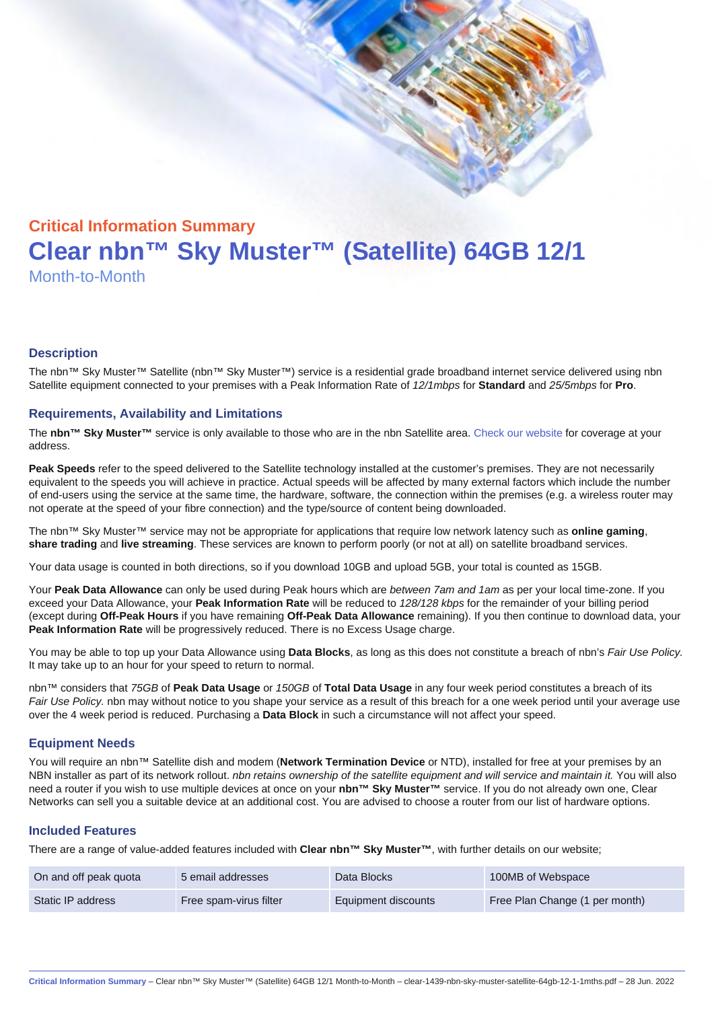# Critical Information Summary Clear nbn™ Sky Muster™ (Satellite) 64GB 12/1 Month-to-Month

#### **Description**

The nbn™ Sky Muster™ Satellite (nbn™ Sky Muster™) service is a residential grade broadband internet service delivered using nbn Satellite equipment connected to your premises with a Peak Information Rate of 12/1mbps for Standard and 25/5mbps for Pro.

#### Requirements, Availability and Limitations

The nbn™ Sky Muster™ service is only available to those who are in the nbn Satellite area. [Check our website](https://www.clear.com.au/corporate-government/nbn-sky-muster/availability-coverage/) for coverage at your address.

Peak Speeds refer to the speed delivered to the Satellite technology installed at the customer's premises. They are not necessarily equivalent to the speeds you will achieve in practice. Actual speeds will be affected by many external factors which include the number of end-users using the service at the same time, the hardware, software, the connection within the premises (e.g. a wireless router may not operate at the speed of your fibre connection) and the type/source of content being downloaded.

The nbn™ Sky Muster™ service may not be appropriate for applications that require low network latency such as online gaming , share trading and live streaming . These services are known to perform poorly (or not at all) on satellite broadband services.

Your data usage is counted in both directions, so if you download 10GB and upload 5GB, your total is counted as 15GB.

Your Peak Data Allowance can only be used during Peak hours which are between 7am and 1am as per your local time-zone. If you exceed your Data Allowance, your Peak Information Rate will be reduced to 128/128 kbps for the remainder of your billing period (except during Off-Peak Hours if you have remaining Off-Peak Data Allowance remaining). If you then continue to download data, your Peak Information Rate will be progressively reduced. There is no Excess Usage charge.

You may be able to top up your Data Allowance using Data Blocks , as long as this does not constitute a breach of nbn's Fair Use Policy. It may take up to an hour for your speed to return to normal.

nbn™ considers that 75GB of Peak Data Usage or 150GB of Total Data Usage in any four week period constitutes a breach of its Fair Use Policy. nbn may without notice to you shape your service as a result of this breach for a one week period until your average use over the 4 week period is reduced. Purchasing a Data Block in such a circumstance will not affect your speed.

#### Equipment Needs

You will require an nbn™ Satellite dish and modem (Network Termination Device or NTD), installed for free at your premises by an NBN installer as part of its network rollout. nbn retains ownership of the satellite equipment and will service and maintain it. You will also need a router if you wish to use multiple devices at once on your nbn™ Sky Muster™ service. If you do not already own one, Clear Networks can sell you a suitable device at an additional cost. You are advised to choose a router from our list of hardware options.

#### Included Features

There are a range of value-added features included with Clear nbn™ Sky Muster™ , with further details on our website;

| On and off peak quota | 5 email addresses      | Data Blocks         | 100MB of Webspace              |
|-----------------------|------------------------|---------------------|--------------------------------|
| Static IP address     | Free spam-virus filter | Equipment discounts | Free Plan Change (1 per month) |